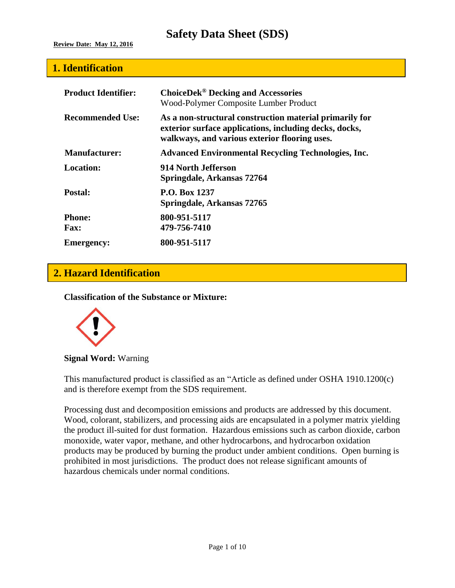### **1. Identification**

| <b>Product Identifier:</b>   | <b>ChoiceDek<sup>®</sup> Decking and Accessories</b><br>Wood-Polymer Composite Lumber Product                                                                      |
|------------------------------|--------------------------------------------------------------------------------------------------------------------------------------------------------------------|
| <b>Recommended Use:</b>      | As a non-structural construction material primarily for<br>exterior surface applications, including decks, docks,<br>walkways, and various exterior flooring uses. |
| <b>Manufacturer:</b>         | <b>Advanced Environmental Recycling Technologies, Inc.</b>                                                                                                         |
| Location:                    | 914 North Jefferson<br>Springdale, Arkansas 72764                                                                                                                  |
| Postal:                      | <b>P.O. Box 1237</b><br>Springdale, Arkansas 72765                                                                                                                 |
| <b>Phone:</b><br><b>Fax:</b> | 800-951-5117<br>479-756-7410                                                                                                                                       |
| <b>Emergency:</b>            | 800-951-5117                                                                                                                                                       |

## **2. Hazard Identification**

**Classification of the Substance or Mixture:**



**Signal Word:** Warning

This manufactured product is classified as an "Article as defined under OSHA 1910.1200(c) and is therefore exempt from the SDS requirement.

Processing dust and decomposition emissions and products are addressed by this document. Wood, colorant, stabilizers, and processing aids are encapsulated in a polymer matrix yielding the product ill-suited for dust formation. Hazardous emissions such as carbon dioxide, carbon monoxide, water vapor, methane, and other hydrocarbons, and hydrocarbon oxidation products may be produced by burning the product under ambient conditions. Open burning is prohibited in most jurisdictions. The product does not release significant amounts of hazardous chemicals under normal conditions.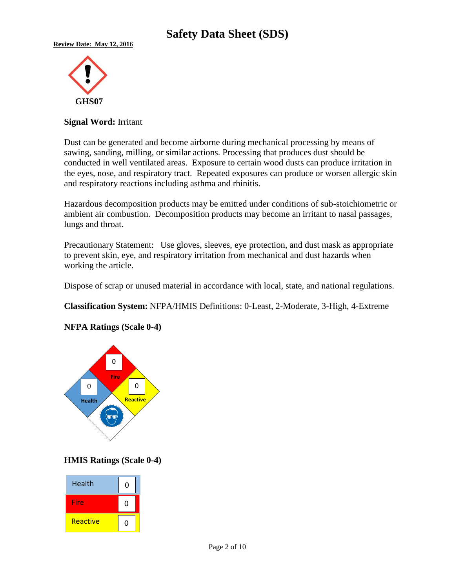

#### **Signal Word:** Irritant

Dust can be generated and become airborne during mechanical processing by means of sawing, sanding, milling, or similar actions. Processing that produces dust should be conducted in well ventilated areas. Exposure to certain wood dusts can produce irritation in the eyes, nose, and respiratory tract. Repeated exposures can produce or worsen allergic skin and respiratory reactions including asthma and rhinitis.

Hazardous decomposition products may be emitted under conditions of sub-stoichiometric or ambient air combustion. Decomposition products may become an irritant to nasal passages, lungs and throat.

Precautionary Statement: Use gloves, sleeves, eye protection, and dust mask as appropriate to prevent skin, eye, and respiratory irritation from mechanical and dust hazards when working the article.

Dispose of scrap or unused material in accordance with local, state, and national regulations.

**Classification System:** NFPA/HMIS Definitions: 0-Least, 2-Moderate, 3-High, 4-Extreme

#### **NFPA Ratings (Scale 0-4)**



#### **HMIS Ratings (Scale 0-4)**

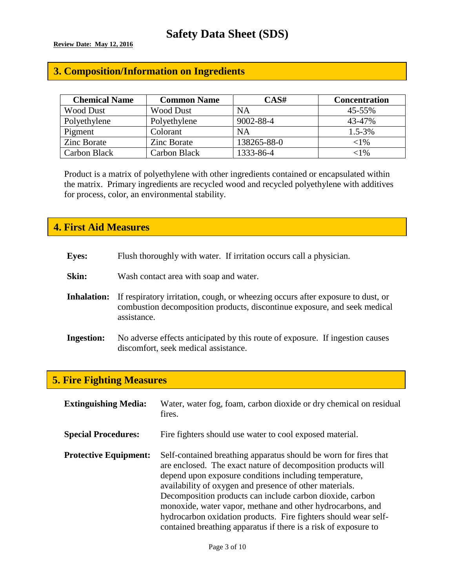## **3. Composition/Information on Ingredients**

| <b>Chemical Name</b> | <b>Common Name</b> | CAS#        | <b>Concentration</b> |
|----------------------|--------------------|-------------|----------------------|
| <b>Wood Dust</b>     | <b>Wood Dust</b>   | NA          | 45-55%               |
| Polyethylene         | Polyethylene       | 9002-88-4   | 43-47%               |
| Pigment              | Colorant           | NA          | $1.5 - 3\%$          |
| <b>Zinc Borate</b>   | <b>Zinc Borate</b> | 138265-88-0 | $<$ l $%$            |
| Carbon Black         | Carbon Black       | 1333-86-4   | ${<}1\%$             |

Product is a matrix of polyethylene with other ingredients contained or encapsulated within the matrix. Primary ingredients are recycled wood and recycled polyethylene with additives for process, color, an environmental stability.

### **4. First Aid Measures**

- **Skin:** Wash contact area with soap and water.
- **Inhalation:** If respiratory irritation, cough, or wheezing occurs after exposure to dust, or combustion decomposition products, discontinue exposure, and seek medical assistance.
- **Ingestion:** No adverse effects anticipated by this route of exposure. If ingestion causes discomfort, seek medical assistance.

## **5. Fire Fighting Measures**

| <b>Extinguishing Media:</b>  | Water, water fog, foam, carbon dioxide or dry chemical on residual<br>fires.                                                                                                                                                                                                                                                                                                                                                                                                                                            |
|------------------------------|-------------------------------------------------------------------------------------------------------------------------------------------------------------------------------------------------------------------------------------------------------------------------------------------------------------------------------------------------------------------------------------------------------------------------------------------------------------------------------------------------------------------------|
| <b>Special Procedures:</b>   | Fire fighters should use water to cool exposed material.                                                                                                                                                                                                                                                                                                                                                                                                                                                                |
| <b>Protective Equipment:</b> | Self-contained breathing apparatus should be worn for fires that<br>are enclosed. The exact nature of decomposition products will<br>depend upon exposure conditions including temperature,<br>availability of oxygen and presence of other materials.<br>Decomposition products can include carbon dioxide, carbon<br>monoxide, water vapor, methane and other hydrocarbons, and<br>hydrocarbon oxidation products. Fire fighters should wear self-<br>contained breathing apparatus if there is a risk of exposure to |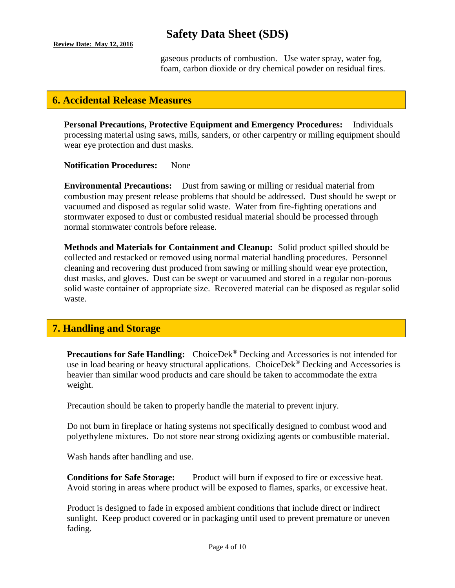#### **Review Date: May 12, 2016**

# **Safety Data Sheet (SDS)**

gaseous products of combustion. Use water spray, water fog, foam, carbon dioxide or dry chemical powder on residual fires.

### **6. Accidental Release Measures**

**Personal Precautions, Protective Equipment and Emergency Procedures:** Individuals processing material using saws, mills, sanders, or other carpentry or milling equipment should wear eye protection and dust masks.

**Notification Procedures:** None

**Environmental Precautions:** Dust from sawing or milling or residual material from combustion may present release problems that should be addressed. Dust should be swept or vacuumed and disposed as regular solid waste. Water from fire-fighting operations and stormwater exposed to dust or combusted residual material should be processed through normal stormwater controls before release.

**Methods and Materials for Containment and Cleanup:** Solid product spilled should be collected and restacked or removed using normal material handling procedures. Personnel cleaning and recovering dust produced from sawing or milling should wear eye protection, dust masks, and gloves. Dust can be swept or vacuumed and stored in a regular non-porous solid waste container of appropriate size. Recovered material can be disposed as regular solid waste.

## **7. Handling and Storage**

**Precautions for Safe Handling:** ChoiceDek® Decking and Accessories is not intended for use in load bearing or heavy structural applications. ChoiceDek<sup>®</sup> Decking and Accessories is heavier than similar wood products and care should be taken to accommodate the extra weight.

Precaution should be taken to properly handle the material to prevent injury.

Do not burn in fireplace or hating systems not specifically designed to combust wood and polyethylene mixtures. Do not store near strong oxidizing agents or combustible material.

Wash hands after handling and use.

**Conditions for Safe Storage:** Product will burn if exposed to fire or excessive heat. Avoid storing in areas where product will be exposed to flames, sparks, or excessive heat.

Product is designed to fade in exposed ambient conditions that include direct or indirect sunlight. Keep product covered or in packaging until used to prevent premature or uneven fading.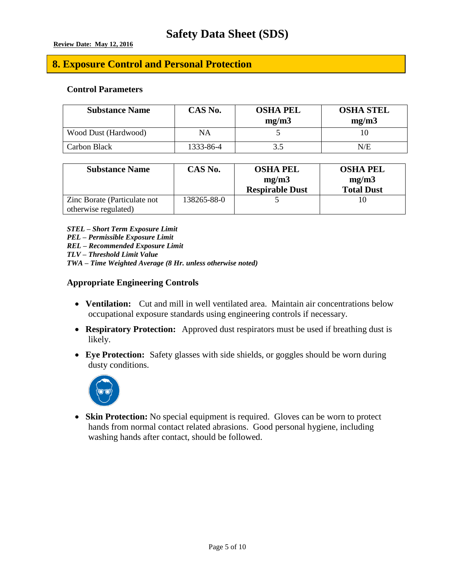## **8. Exposure Control and Personal Protection**

#### **Control Parameters**

| <b>Substance Name</b> | CAS No.   | <b>OSHA PEL</b><br>mg/m3 | <b>OSHA STEL</b><br>mg/m3 |
|-----------------------|-----------|--------------------------|---------------------------|
| Wood Dust (Hardwood)  | NA        |                          |                           |
| Carbon Black          | 1333-86-4 | 3.5                      | N/E                       |

| <b>Substance Name</b>                                 | CAS No.     | <b>OSHA PEL</b><br>mg/m3<br><b>Respirable Dust</b> | <b>OSHA PEL</b><br>mg/m3<br><b>Total Dust</b> |
|-------------------------------------------------------|-------------|----------------------------------------------------|-----------------------------------------------|
| Zinc Borate (Particulate not)<br>otherwise regulated) | 138265-88-0 |                                                    |                                               |

*STEL – Short Term Exposure Limit*

*PEL – Permissible Exposure Limit*

*REL – Recommended Exposure Limit*

*TLV – Threshold Limit Value*

*TWA – Time Weighted Average (8 Hr. unless otherwise noted)*

#### **Appropriate Engineering Controls**

- **Ventilation:** Cut and mill in well ventilated area. Maintain air concentrations below occupational exposure standards using engineering controls if necessary.
- **Respiratory Protection:** Approved dust respirators must be used if breathing dust is likely.
- **Eye Protection:** Safety glasses with side shields, or goggles should be worn during dusty conditions.



 **Skin Protection:** No special equipment is required. Gloves can be worn to protect hands from normal contact related abrasions. Good personal hygiene, including washing hands after contact, should be followed.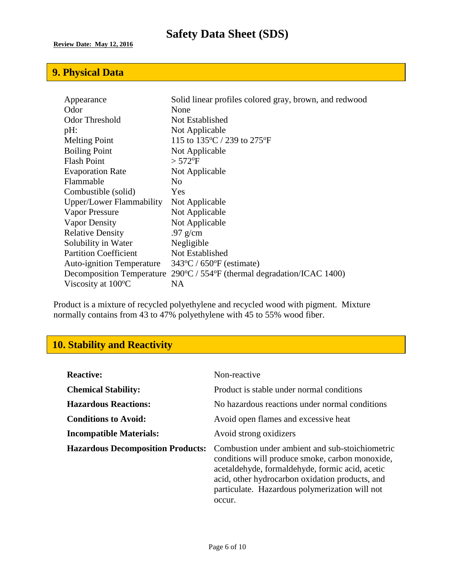# **9. Physical Data**

| Appearance                       | Solid linear profiles colored gray, brown, and redwood             |
|----------------------------------|--------------------------------------------------------------------|
| Odor                             | None                                                               |
| <b>Odor Threshold</b>            | Not Established                                                    |
| pH:                              | Not Applicable                                                     |
| <b>Melting Point</b>             | 115 to 135 °C / 239 to 275 °F                                      |
| <b>Boiling Point</b>             | Not Applicable                                                     |
| <b>Flash Point</b>               | $> 572$ <sup>o</sup> F                                             |
| <b>Evaporation Rate</b>          | Not Applicable                                                     |
| Flammable                        | No.                                                                |
| Combustible (solid)              | Yes                                                                |
| Upper/Lower Flammability         | Not Applicable                                                     |
| Vapor Pressure                   | Not Applicable                                                     |
| Vapor Density                    | Not Applicable                                                     |
| <b>Relative Density</b>          | .97 $g/cm$                                                         |
| Solubility in Water              | Negligible                                                         |
| <b>Partition Coefficient</b>     | Not Established                                                    |
| <b>Auto-ignition Temperature</b> | $343^{\circ}$ C / 650 $^{\circ}$ F (estimate)                      |
| <b>Decomposition Temperature</b> | $290^{\circ}$ C / 554 $^{\circ}$ F (thermal degradation/ICAC 1400) |
| Viscosity at $100^{\circ}$ C     | NA                                                                 |

Product is a mixture of recycled polyethylene and recycled wood with pigment. Mixture normally contains from 43 to 47% polyethylene with 45 to 55% wood fiber.

## **10. Stability and Reactivity**

| <b>Reactive:</b>                         | Non-reactive                                                                                                                                                                                                                                                         |
|------------------------------------------|----------------------------------------------------------------------------------------------------------------------------------------------------------------------------------------------------------------------------------------------------------------------|
| <b>Chemical Stability:</b>               | Product is stable under normal conditions                                                                                                                                                                                                                            |
| <b>Hazardous Reactions:</b>              | No hazardous reactions under normal conditions                                                                                                                                                                                                                       |
| <b>Conditions to Avoid:</b>              | Avoid open flames and excessive heat                                                                                                                                                                                                                                 |
| <b>Incompatible Materials:</b>           | Avoid strong oxidizers                                                                                                                                                                                                                                               |
| <b>Hazardous Decomposition Products:</b> | Combustion under ambient and sub-stoichiometric<br>conditions will produce smoke, carbon monoxide,<br>acetaldehyde, formaldehyde, formic acid, acetic<br>acid, other hydrocarbon oxidation products, and<br>particulate. Hazardous polymerization will not<br>occur. |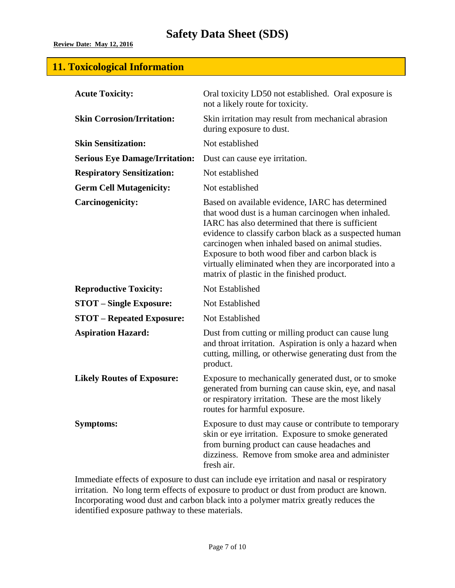## **11. Toxicological Information**

| <b>Acute Toxicity:</b>                | Oral toxicity LD50 not established. Oral exposure is<br>not a likely route for toxicity.                                                                                                                                                                                                                                                                                                                                             |  |  |
|---------------------------------------|--------------------------------------------------------------------------------------------------------------------------------------------------------------------------------------------------------------------------------------------------------------------------------------------------------------------------------------------------------------------------------------------------------------------------------------|--|--|
| <b>Skin Corrosion/Irritation:</b>     | Skin irritation may result from mechanical abrasion<br>during exposure to dust.                                                                                                                                                                                                                                                                                                                                                      |  |  |
| <b>Skin Sensitization:</b>            | Not established                                                                                                                                                                                                                                                                                                                                                                                                                      |  |  |
| <b>Serious Eye Damage/Irritation:</b> | Dust can cause eye irritation.                                                                                                                                                                                                                                                                                                                                                                                                       |  |  |
| <b>Respiratory Sensitization:</b>     | Not established                                                                                                                                                                                                                                                                                                                                                                                                                      |  |  |
| <b>Germ Cell Mutagenicity:</b>        | Not established                                                                                                                                                                                                                                                                                                                                                                                                                      |  |  |
| <b>Carcinogenicity:</b>               | Based on available evidence, IARC has determined<br>that wood dust is a human carcinogen when inhaled.<br>IARC has also determined that there is sufficient<br>evidence to classify carbon black as a suspected human<br>carcinogen when inhaled based on animal studies.<br>Exposure to both wood fiber and carbon black is<br>virtually eliminated when they are incorporated into a<br>matrix of plastic in the finished product. |  |  |
| <b>Reproductive Toxicity:</b>         | Not Established                                                                                                                                                                                                                                                                                                                                                                                                                      |  |  |
| <b>STOT</b> – Single Exposure:        | Not Established                                                                                                                                                                                                                                                                                                                                                                                                                      |  |  |
| <b>STOT - Repeated Exposure:</b>      | Not Established                                                                                                                                                                                                                                                                                                                                                                                                                      |  |  |
| <b>Aspiration Hazard:</b>             | Dust from cutting or milling product can cause lung<br>and throat irritation. Aspiration is only a hazard when<br>cutting, milling, or otherwise generating dust from the<br>product.                                                                                                                                                                                                                                                |  |  |
| <b>Likely Routes of Exposure:</b>     | Exposure to mechanically generated dust, or to smoke<br>generated from burning can cause skin, eye, and nasal<br>or respiratory irritation. These are the most likely<br>routes for harmful exposure.                                                                                                                                                                                                                                |  |  |
| <b>Symptoms:</b>                      | Exposure to dust may cause or contribute to temporary<br>skin or eye irritation. Exposure to smoke generated<br>from burning product can cause headaches and<br>dizziness. Remove from smoke area and administer<br>fresh air.                                                                                                                                                                                                       |  |  |

Immediate effects of exposure to dust can include eye irritation and nasal or respiratory irritation. No long term effects of exposure to product or dust from product are known. Incorporating wood dust and carbon black into a polymer matrix greatly reduces the identified exposure pathway to these materials.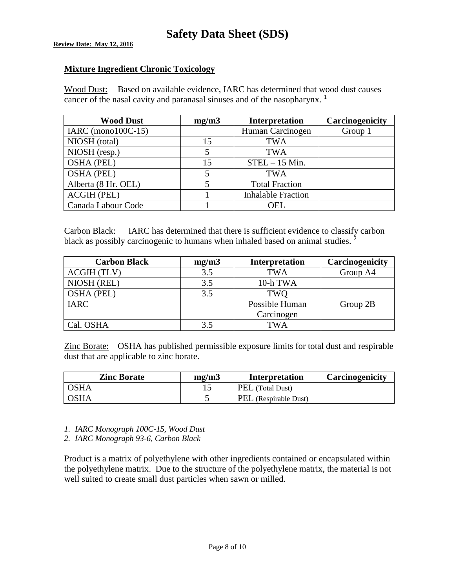**Review Date: May 12, 2016** 

#### **Mixture Ingredient Chronic Toxicology**

Wood Dust: Based on available evidence, IARC has determined that wood dust causes cancer of the nasal cavity and paranasal sinuses and of the nasopharynx.  $1$ 

| <b>Wood Dust</b>       | mg/m3 | Interpretation            | Carcinogenicity |
|------------------------|-------|---------------------------|-----------------|
| IARC (mono $100C-15$ ) |       | Human Carcinogen          | Group 1         |
| NIOSH (total)          | 15    | <b>TWA</b>                |                 |
| NIOSH (resp.)          | 5     | <b>TWA</b>                |                 |
| <b>OSHA (PEL)</b>      | 15    | $STEL - 15$ Min.          |                 |
| <b>OSHA (PEL)</b>      | 5     | <b>TWA</b>                |                 |
| Alberta (8 Hr. OEL)    | 5     | <b>Total Fraction</b>     |                 |
| <b>ACGIH (PEL)</b>     |       | <b>Inhalable Fraction</b> |                 |
| Canada Labour Code     |       | <b>OEL</b>                |                 |

Carbon Black: IARC has determined that there is sufficient evidence to classify carbon black as possibly carcinogenic to humans when inhaled based on animal studies.  $2$ 

| <b>Carbon Black</b> | mg/m3 | <b>Interpretation</b> | Carcinogenicity |
|---------------------|-------|-----------------------|-----------------|
| <b>ACGIH (TLV)</b>  | 3.5   | <b>TWA</b>            | Group A4        |
| NIOSH (REL)         | 3.5   | 10-h TWA              |                 |
| <b>OSHA (PEL)</b>   | 3.5   | TWO                   |                 |
| <b>IARC</b>         |       | Possible Human        | Group 2B        |
|                     |       | Carcinogen            |                 |
| Cal. OSHA           | 3.5   | TWA                   |                 |

Zinc Borate: OSHA has published permissible exposure limits for total dust and respirable dust that are applicable to zinc borate.

| <b>Zinc Borate</b> | mg/m3 | Interpretation        | Carcinogenicity |
|--------------------|-------|-----------------------|-----------------|
| <b>OSHA</b>        |       | PEL (Total Dust)      |                 |
| <b>OSHA</b>        |       | PEL (Respirable Dust) |                 |

*1. IARC Monograph 100C-15, Wood Dust*

*2. IARC Monograph 93-6, Carbon Black*

Product is a matrix of polyethylene with other ingredients contained or encapsulated within the polyethylene matrix. Due to the structure of the polyethylene matrix, the material is not well suited to create small dust particles when sawn or milled.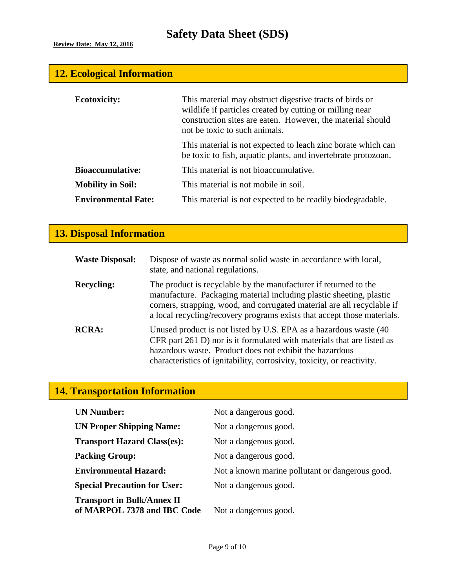# **12. Ecological Information**

| <b>Ecotoxicity:</b>        | This material may obstruct digestive tracts of birds or<br>wildlife if particles created by cutting or milling near<br>construction sites are eaten. However, the material should<br>not be toxic to such animals. |
|----------------------------|--------------------------------------------------------------------------------------------------------------------------------------------------------------------------------------------------------------------|
|                            | This material is not expected to leach zinc borate which can<br>be toxic to fish, aquatic plants, and invertebrate protozoan.                                                                                      |
| <b>Bioaccumulative:</b>    | This material is not bioaccumulative.                                                                                                                                                                              |
| <b>Mobility in Soil:</b>   | This material is not mobile in soil.                                                                                                                                                                               |
| <b>Environmental Fate:</b> | This material is not expected to be readily biodegradable.                                                                                                                                                         |

# **13. Disposal Information**

| <b>Waste Disposal:</b> | Dispose of waste as normal solid waste in accordance with local,<br>state, and national regulations.                                                                                                                                                                                          |
|------------------------|-----------------------------------------------------------------------------------------------------------------------------------------------------------------------------------------------------------------------------------------------------------------------------------------------|
| <b>Recycling:</b>      | The product is recyclable by the manufacturer if returned to the<br>manufacture. Packaging material including plastic sheeting, plastic<br>corners, strapping, wood, and corrugated material are all recyclable if<br>a local recycling/recovery programs exists that accept those materials. |
| <b>RCRA:</b>           | Unused product is not listed by U.S. EPA as a hazardous waste (40)<br>CFR part 261 D) nor is it formulated with materials that are listed as<br>hazardous waste. Product does not exhibit the hazardous<br>characteristics of ignitability, corrosivity, toxicity, or reactivity.             |

# **14. Transportation Information**

| <b>UN Number:</b>                                                | Not a dangerous good.                           |
|------------------------------------------------------------------|-------------------------------------------------|
| <b>UN Proper Shipping Name:</b>                                  | Not a dangerous good.                           |
| <b>Transport Hazard Class(es):</b>                               | Not a dangerous good.                           |
| <b>Packing Group:</b>                                            | Not a dangerous good.                           |
| <b>Environmental Hazard:</b>                                     | Not a known marine pollutant or dangerous good. |
| <b>Special Precaution for User:</b>                              | Not a dangerous good.                           |
| <b>Transport in Bulk/Annex II</b><br>of MARPOL 7378 and IBC Code | Not a dangerous good.                           |